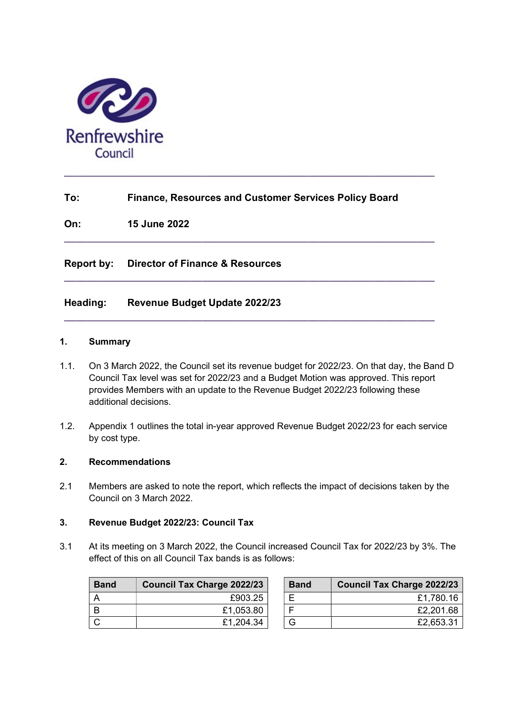

# To: Finance, Resources and Customer Services Policy Board

 $\_$  ,  $\_$  ,  $\_$  ,  $\_$  ,  $\_$  ,  $\_$  ,  $\_$  ,  $\_$  ,  $\_$  ,  $\_$  ,  $\_$  ,  $\_$  ,  $\_$  ,  $\_$  ,  $\_$  ,  $\_$  ,  $\_$  ,  $\_$ 

 $\_$  ,  $\_$  ,  $\_$  ,  $\_$  ,  $\_$  ,  $\_$  ,  $\_$  ,  $\_$  ,  $\_$  ,  $\_$  ,  $\_$  ,  $\_$  ,  $\_$  ,  $\_$  ,  $\_$  ,  $\_$  ,  $\_$  ,  $\_$ 

 $\_$  , and the set of the set of the set of the set of the set of the set of the set of the set of the set of the set of the set of the set of the set of the set of the set of the set of the set of the set of the set of th

 $\_$  ,  $\_$  ,  $\_$  ,  $\_$  ,  $\_$  ,  $\_$  ,  $\_$  ,  $\_$  ,  $\_$  ,  $\_$  ,  $\_$  ,  $\_$  ,  $\_$  ,  $\_$  ,  $\_$  ,  $\_$  ,  $\_$  ,  $\_$ 

On: 15 June 2022

# Report by: Director of Finance & Resources

### Heading: Revenue Budget Update 2022/23

#### 1. Summary

- 1.1. On 3 March 2022, the Council set its revenue budget for 2022/23. On that day, the Band D Council Tax level was set for 2022/23 and a Budget Motion was approved. This report provides Members with an update to the Revenue Budget 2022/23 following these additional decisions.
- 1.2. Appendix 1 outlines the total in-year approved Revenue Budget 2022/23 for each service by cost type.

#### 2. Recommendations

2.1 Members are asked to note the report, which reflects the impact of decisions taken by the Council on 3 March 2022.

### 3. Revenue Budget 2022/23: Council Tax

3.1 At its meeting on 3 March 2022, the Council increased Council Tax for 2022/23 by 3%. The effect of this on all Council Tax bands is as follows:

| <b>Band</b> | <b>Council Tax Charge 2022/23</b> | <b>Band</b> | <b>Council Tax Charge 2022/23</b> |
|-------------|-----------------------------------|-------------|-----------------------------------|
|             | £903.25                           |             | £1,780.16                         |
|             | £1,053.80                         |             | £2,201.68                         |
|             | £1,204.34                         |             | £2,653.31                         |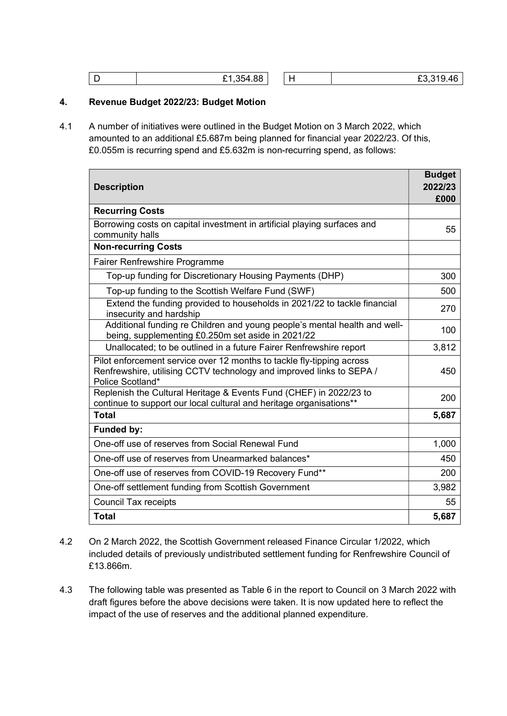| . . | $-1,$ 354.88 $\vert$ |  |  | no orn<br>.46 |
|-----|----------------------|--|--|---------------|
|-----|----------------------|--|--|---------------|

### 4. Revenue Budget 2022/23: Budget Motion

4.1 A number of initiatives were outlined in the Budget Motion on 3 March 2022, which amounted to an additional £5.687m being planned for financial year 2022/23. Of this, £0.055m is recurring spend and £5.632m is non-recurring spend, as follows:

| <b>Description</b>                                                                                                                                                | <b>Budget</b><br>2022/23 |
|-------------------------------------------------------------------------------------------------------------------------------------------------------------------|--------------------------|
| <b>Recurring Costs</b>                                                                                                                                            | £000                     |
|                                                                                                                                                                   |                          |
| Borrowing costs on capital investment in artificial playing surfaces and<br>community halls                                                                       | 55                       |
| <b>Non-recurring Costs</b>                                                                                                                                        |                          |
| Fairer Renfrewshire Programme                                                                                                                                     |                          |
| Top-up funding for Discretionary Housing Payments (DHP)                                                                                                           | 300                      |
| Top-up funding to the Scottish Welfare Fund (SWF)                                                                                                                 | 500                      |
| Extend the funding provided to households in 2021/22 to tackle financial<br>insecurity and hardship                                                               | 270                      |
| Additional funding re Children and young people's mental health and well-<br>being, supplementing £0.250m set aside in 2021/22                                    | 100                      |
| Unallocated; to be outlined in a future Fairer Renfrewshire report                                                                                                | 3,812                    |
| Pilot enforcement service over 12 months to tackle fly-tipping across<br>Renfrewshire, utilising CCTV technology and improved links to SEPA /<br>Police Scotland* | 450                      |
| Replenish the Cultural Heritage & Events Fund (CHEF) in 2022/23 to<br>continue to support our local cultural and heritage organisations**                         | 200                      |
| <b>Total</b>                                                                                                                                                      | 5,687                    |
| <b>Funded by:</b>                                                                                                                                                 |                          |
| One-off use of reserves from Social Renewal Fund                                                                                                                  | 1,000                    |
| One-off use of reserves from Unearmarked balances*                                                                                                                | 450                      |
| One-off use of reserves from COVID-19 Recovery Fund**                                                                                                             | 200                      |
| One-off settlement funding from Scottish Government                                                                                                               | 3,982                    |
| <b>Council Tax receipts</b>                                                                                                                                       | 55                       |
| <b>Total</b>                                                                                                                                                      | 5,687                    |

- 4.2 On 2 March 2022, the Scottish Government released Finance Circular 1/2022, which included details of previously undistributed settlement funding for Renfrewshire Council of £13.866m.
- 4.3 The following table was presented as Table 6 in the report to Council on 3 March 2022 with draft figures before the above decisions were taken. It is now updated here to reflect the impact of the use of reserves and the additional planned expenditure.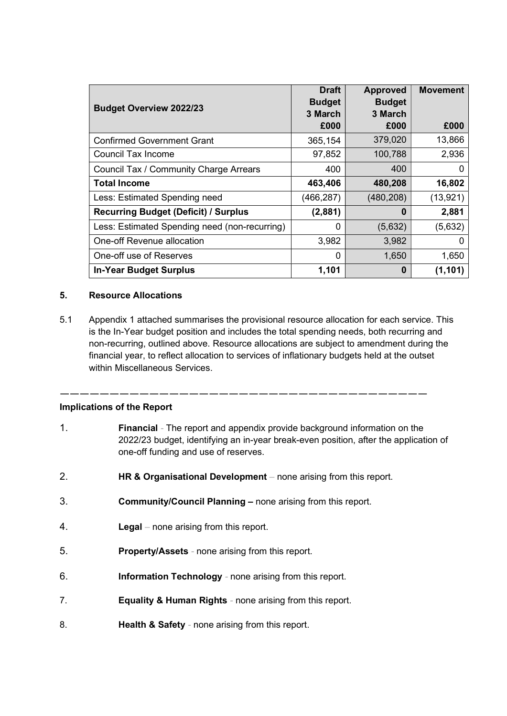| <b>Budget Overview 2022/23</b>                | <b>Draft</b><br><b>Budget</b><br>3 March | <b>Approved</b><br><b>Budget</b><br>3 March | <b>Movement</b> |
|-----------------------------------------------|------------------------------------------|---------------------------------------------|-----------------|
|                                               | £000                                     | £000                                        | £000            |
| <b>Confirmed Government Grant</b>             | 365,154                                  | 379,020                                     | 13,866          |
| Council Tax Income                            | 97,852                                   | 100,788                                     | 2,936           |
| Council Tax / Community Charge Arrears        | 400                                      | 400                                         |                 |
| <b>Total Income</b>                           | 463,406                                  | 480,208                                     | 16,802          |
| Less: Estimated Spending need                 | (466, 287)                               | (480, 208)                                  | (13, 921)       |
| <b>Recurring Budget (Deficit) / Surplus</b>   | (2,881)                                  | 0                                           | 2,881           |
| Less: Estimated Spending need (non-recurring) | 0                                        | (5,632)                                     | (5,632)         |
| One-off Revenue allocation                    | 3,982                                    | 3,982                                       | 0               |
| One-off use of Reserves                       | $\Omega$                                 | 1,650                                       | 1,650           |
| <b>In-Year Budget Surplus</b>                 | 1,101                                    | 0                                           | (1, 101)        |

# 5. Resource Allocations

5.1 Appendix 1 attached summarises the provisional resource allocation for each service. This is the In-Year budget position and includes the total spending needs, both recurring and non-recurring, outlined above. Resource allocations are subject to amendment during the financial year, to reflect allocation to services of inflationary budgets held at the outset within Miscellaneous Services.

### Implications of the Report

1. Financial - The report and appendix provide background information on the 2022/23 budget, identifying an in-year break-even position, after the application of one-off funding and use of reserves.

—————————————————————————————————————

- 2. HR & Organisational Development none arising from this report.
- 3. Community/Council Planning none arising from this report.
- 4. Legal none arising from this report.
- 5. Property/Assets none arising from this report.
- 6. Information Technology none arising from this report.
- 7. Equality & Human Rights none arising from this report.
- 8. **Health & Safety** none arising from this report.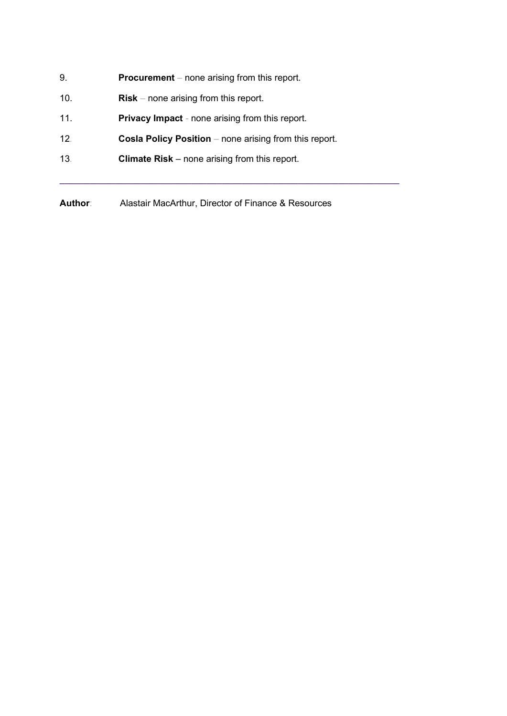- 9. **Procurement** none arising from this report.
- 10. **Risk** none arising from this report.
- 11. **Privacy Impact** none arising from this report.
- 12. Cosla Policy Position none arising from this report.
- 13. Climate Risk none arising from this report.

Author: Alastair MacArthur, Director of Finance & Resources

 $\_$  , and the set of the set of the set of the set of the set of the set of the set of the set of the set of the set of the set of the set of the set of the set of the set of the set of the set of the set of the set of th